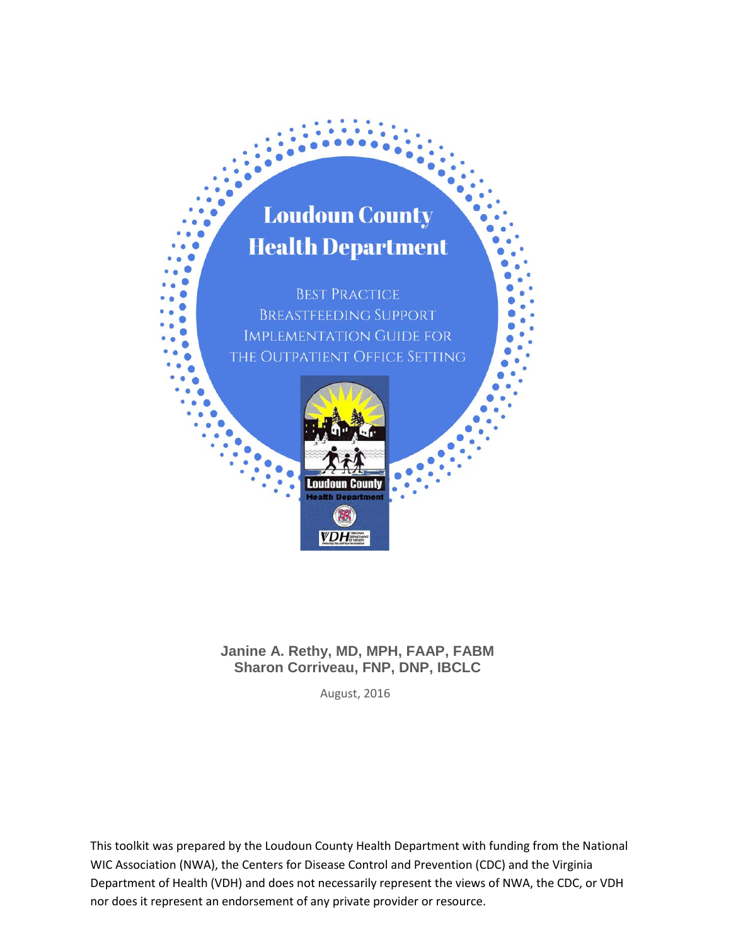# **Loudoun County Health Department**

**BEST PRACTICE BREASTFEEDING SUPPORT IMPLEMENTATION GUIDE FOR** THE OUTPATIENT OFFICE SETTING



**Janine A. Rethy, MD, MPH, FAAP, FABM Sharon Corriveau, FNP, DNP, IBCLC**

August, 2016

This toolkit was prepared by the Loudoun County Health Department with funding from the National WIC Association (NWA), the Centers for Disease Control and Prevention (CDC) and the Virginia Department of Health (VDH) and does not necessarily represent the views of NWA, the CDC, or VDH nor does it represent an endorsement of any private provider or resource.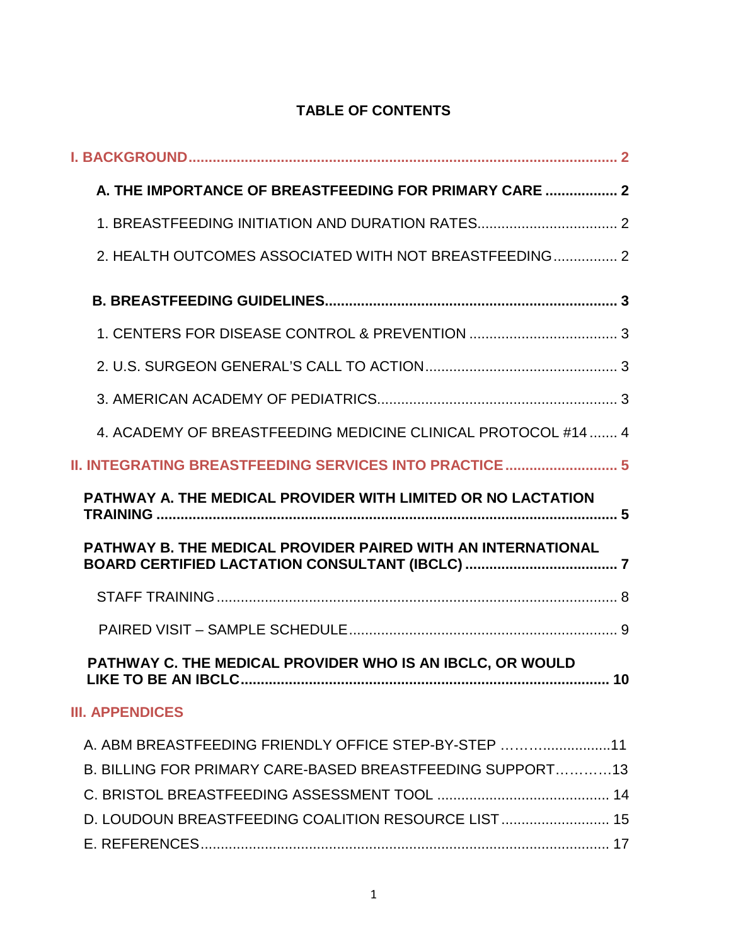## **TABLE OF CONTENTS**

| A. THE IMPORTANCE OF BREASTFEEDING FOR PRIMARY CARE  2                                                            |    |
|-------------------------------------------------------------------------------------------------------------------|----|
| 1. BREASTFEEDING INITIATION AND DURATION RATES 2                                                                  |    |
| 2. HEALTH OUTCOMES ASSOCIATED WITH NOT BREASTFEEDING 2                                                            |    |
|                                                                                                                   |    |
|                                                                                                                   |    |
|                                                                                                                   |    |
|                                                                                                                   |    |
| 4. ACADEMY OF BREASTFEEDING MEDICINE CLINICAL PROTOCOL #14  4                                                     |    |
| <b>II. INTEGRATING BREASTFEEDING SERVICES INTO PRACTICE </b> 5                                                    |    |
| <b>PATHWAY A. THE MEDICAL PROVIDER WITH LIMITED OR NO LACTATION</b>                                               |    |
|                                                                                                                   |    |
| PATHWAY B. THE MEDICAL PROVIDER PAIRED WITH AN INTERNATIONAL                                                      |    |
|                                                                                                                   |    |
|                                                                                                                   |    |
| PATHWAY C. THE MEDICAL PROVIDER WHO IS AN IBCLC, OR WOULD                                                         | 10 |
| <b>III. APPENDICES</b>                                                                                            |    |
| A. ABM BREASTFEEDING FRIENDLY OFFICE STEP-BY-STEP 11<br>B. BILLING FOR PRIMARY CARE-BASED BREASTFEEDING SUPPORT13 |    |
| D. LOUDOUN BREASTFEEDING COALITION RESOURCE LIST 15                                                               |    |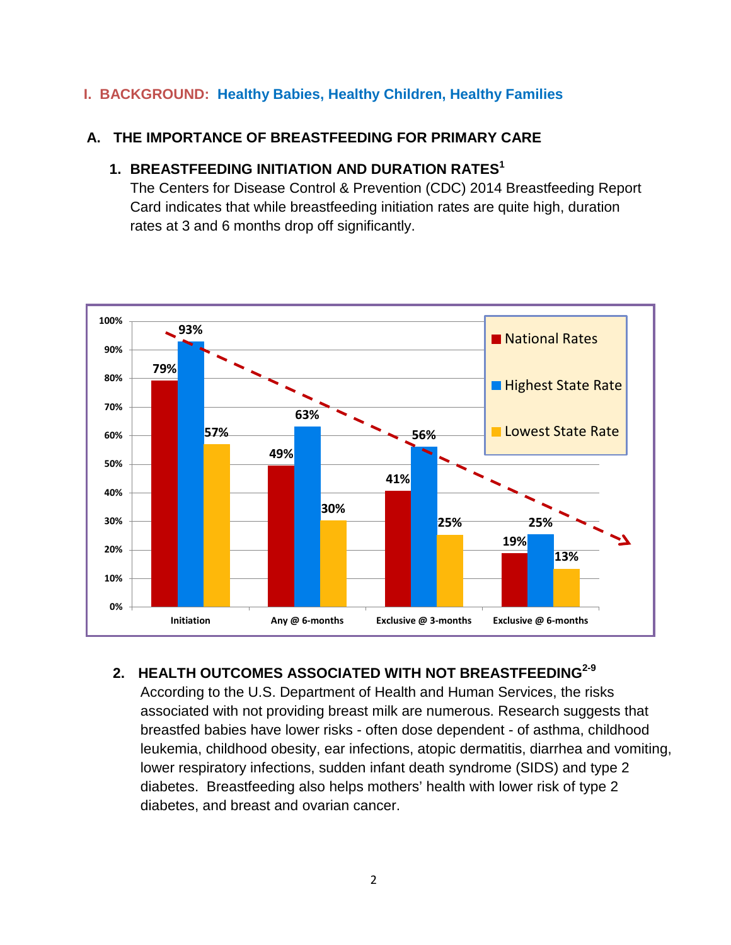### **I. BACKGROUND: Healthy Babies, Healthy Children, Healthy Families**

### **A. THE IMPORTANCE OF BREASTFEEDING FOR PRIMARY CARE**

### **1. BREASTFEEDING INITIATION AND DURATION RATES<sup>1</sup>**

The Centers for Disease Control & Prevention (CDC) 2014 Breastfeeding Report Card indicates that while breastfeeding initiation rates are quite high, duration rates at 3 and 6 months drop off significantly.



### **2. HEALTH OUTCOMES ASSOCIATED WITH NOT BREASTFEEDING2-9**

According to the U.S. Department of Health and Human Services, the risks associated with not providing breast milk are numerous. Research suggests that breastfed babies have lower risks - often dose dependent - of asthma, childhood leukemia, childhood obesity, ear infections, atopic dermatitis, diarrhea and vomiting, lower respiratory infections, sudden infant death syndrome (SIDS) and type 2 diabetes. Breastfeeding also helps mothers' health with lower risk of type 2 diabetes, and breast and ovarian cancer.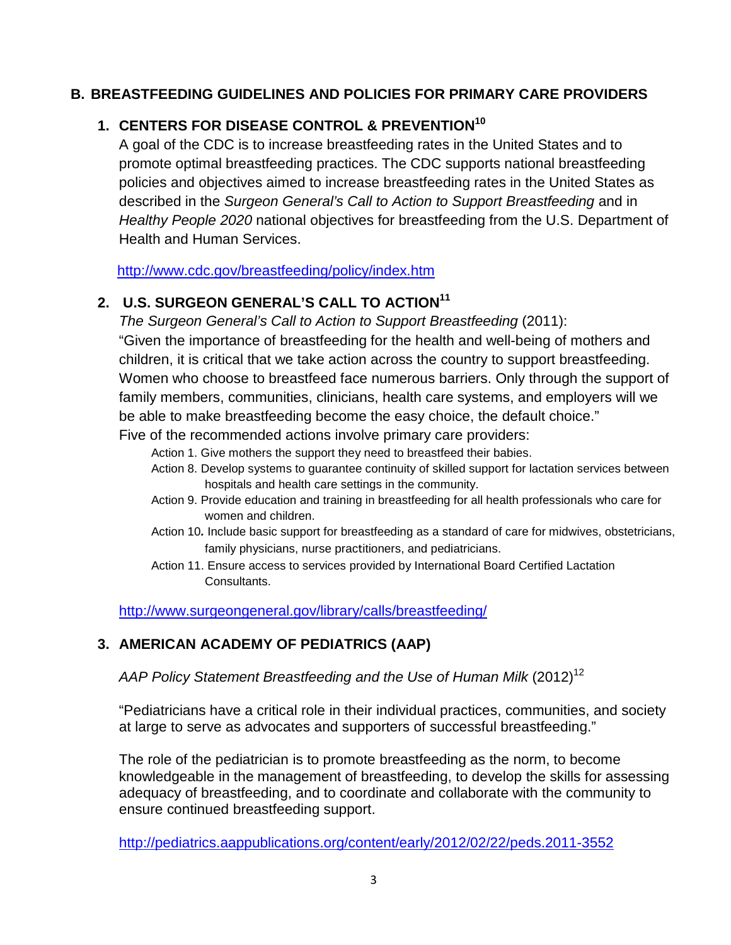### **B. BREASTFEEDING GUIDELINES AND POLICIES FOR PRIMARY CARE PROVIDERS**

## **1. CENTERS FOR DISEASE CONTROL & PREVENTION10**

A goal of the CDC is to increase breastfeeding rates in the United States and to promote optimal breastfeeding practices. The CDC supports national breastfeeding policies and objectives aimed to increase breastfeeding rates in the United States as described in the *Surgeon General's Call to Action to Support Breastfeeding* and in *Healthy People 2020* national objectives for breastfeeding from the U.S. Department of Health and Human Services.

<http://www.cdc.gov/breastfeeding/policy/index.htm>

## **2. U.S. SURGEON GENERAL'S CALL TO ACTION11**

*The Surgeon General's Call to Action to Support Breastfeeding* (2011):

"Given the importance of breastfeeding for the health and well-being of mothers and children, it is critical that we take action across the country to support breastfeeding. Women who choose to breastfeed face numerous barriers. Only through the support of family members, communities, clinicians, health care systems, and employers will we be able to make breastfeeding become the easy choice, the default choice."

Five of the recommended actions involve primary care providers:

- Action 1. Give mothers the support they need to breastfeed their babies.
- Action 8. Develop systems to guarantee continuity of skilled support for lactation services between hospitals and health care settings in the community.
- Action 9. Provide education and training in breastfeeding for all health professionals who care for women and children.
- Action 10*.* Include basic support for breastfeeding as a standard of care for midwives, obstetricians, family physicians, nurse practitioners, and pediatricians.
- Action 11. Ensure access to services provided by International Board Certified Lactation Consultants.

<http://www.surgeongeneral.gov/library/calls/breastfeeding/>

### **3. AMERICAN ACADEMY OF PEDIATRICS (AAP)**

AAP Policy Statement Breastfeeding and the Use of Human Milk (2012)<sup>12</sup>

"Pediatricians have a critical role in their individual practices, communities, and society at large to serve as advocates and supporters of successful breastfeeding."

The role of the pediatrician is to promote breastfeeding as the norm, to become knowledgeable in the management of breastfeeding, to develop the skills for assessing adequacy of breastfeeding, and to coordinate and collaborate with the community to ensure continued breastfeeding support.

<http://pediatrics.aappublications.org/content/early/2012/02/22/peds.2011-3552>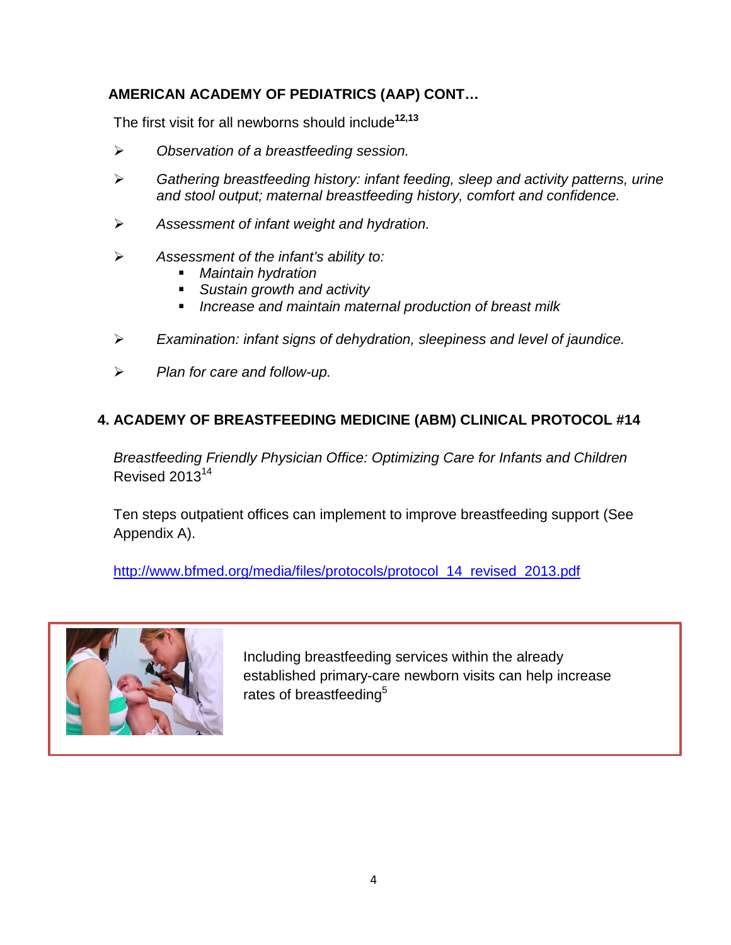### **AMERICAN ACADEMY OF PEDIATRICS (AAP) CONT…**

The first visit for all newborns should include**12,13**

- *Observation of a breastfeeding session.*
- *Gathering breastfeeding history: infant feeding, sleep and activity patterns, urine and stool output; maternal breastfeeding history, comfort and confidence.*
- *Assessment of infant weight and hydration.*
- *Assessment of the infant's ability to:*
	- *Maintain hydration*
	- *Sustain growth and activity*
	- *Increase and maintain maternal production of breast milk*
- *Examination: infant signs of dehydration, sleepiness and level of jaundice.*
- *Plan for care and follow-up.*

### **4. ACADEMY OF BREASTFEEDING MEDICINE (ABM) CLINICAL PROTOCOL #14**

*Breastfeeding Friendly Physician Office: Optimizing Care for Infants and Children* Revised 2013<sup>14</sup>

Ten steps outpatient offices can implement to improve breastfeeding support (See Appendix A).

[http://www.bfmed.org/media/files/protocols/protocol\\_14\\_revised\\_2013.pdf](http://www.bfmed.org/media/files/protocols/protocol_14_revised_2013.pdf)



Including breastfeeding services within the already established primary-care newborn visits can help increase rates of breastfeeding<sup>5</sup>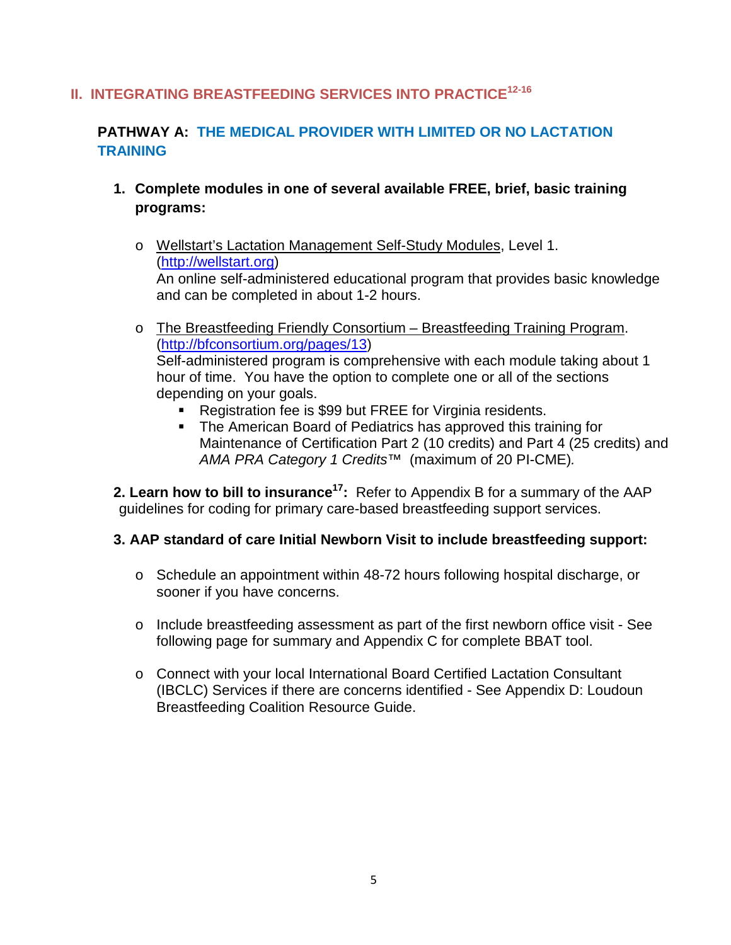### **II. INTEGRATING BREASTFEEDING SERVICES INTO PRACTICE12-16**

### **PATHWAY A: THE MEDICAL PROVIDER WITH LIMITED OR NO LACTATION TRAINING**

- **1. Complete modules in one of several available FREE, brief, basic training programs:**
	- o Wellstart's Lactation Management Self-Study Modules, Level 1. [\(http://wellstart.org\)](http://wellstart.org/) An online self-administered educational program that provides basic knowledge and can be completed in about 1-2 hours.
	- o The Breastfeeding Friendly Consortium Breastfeeding Training Program. [\(http://bfconsortium.org/pages/13\)](http://bfconsortium.org/pages/13) Self-administered program is comprehensive with each module taking about 1 hour of time. You have the option to complete one or all of the sections depending on your goals.
		- **Registration fee is \$99 but FREE for Virginia residents.**
		- The American Board of Pediatrics has approved this training for Maintenance of Certification Part 2 (10 credits) and Part 4 (25 credits) and *AMA PRA Category 1 Credits™* (maximum of 20 PI-CME)*.*

**2. Learn how to bill to insurance17:** Refer to Appendix B for a summary of the AAP guidelines for coding for primary care-based breastfeeding support services.

#### **3. AAP standard of care Initial Newborn Visit to include breastfeeding support:**

- o Schedule an appointment within 48-72 hours following hospital discharge, or sooner if you have concerns.
- o Include breastfeeding assessment as part of the first newborn office visit See following page for summary and Appendix C for complete BBAT tool.
- o Connect with your local International Board Certified Lactation Consultant (IBCLC) Services if there are concerns identified - See Appendix D: Loudoun Breastfeeding Coalition Resource Guide.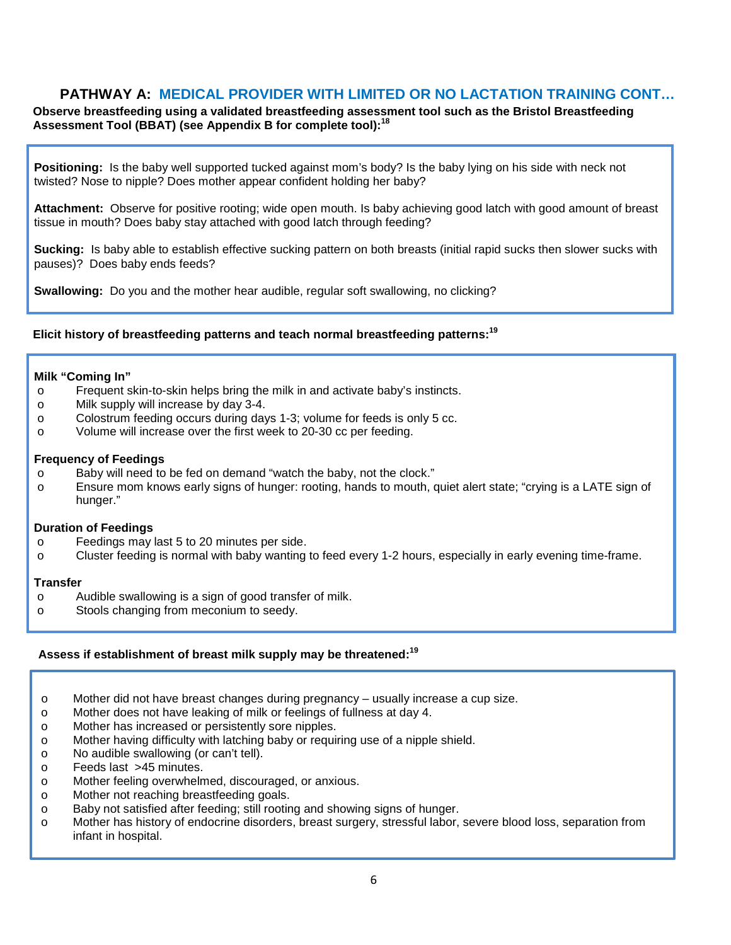#### **PATHWAY A: MEDICAL PROVIDER WITH LIMITED OR NO LACTATION TRAINING CONT…**

**Observe breastfeeding using a validated breastfeeding assessment tool such as the Bristol Breastfeeding Assessment Tool (BBAT) (see Appendix B for complete tool): 18**

**Positioning:** Is the baby well supported tucked against mom's body? Is the baby lying on his side with neck not twisted? Nose to nipple? Does mother appear confident holding her baby?

**Attachment:** Observe for positive rooting; wide open mouth. Is baby achieving good latch with good amount of breast tissue in mouth? Does baby stay attached with good latch through feeding?

**Sucking:** Is baby able to establish effective sucking pattern on both breasts (initial rapid sucks then slower sucks with pauses)? Does baby ends feeds?

**Swallowing:** Do you and the mother hear audible, regular soft swallowing, no clicking?

#### **Elicit history of breastfeeding patterns and teach normal breastfeeding patterns: 19**

#### **Milk "Coming In"**

- $\circ$  Frequent skin-to-skin helps bring the milk in and activate baby's instincts.<br>
Milk supply will increase by day 3-4.
- Milk supply will increase by day 3-4.
- o Colostrum feeding occurs during days 1-3; volume for feeds is only 5 cc.<br>
O Volume will increase over the first week to 20-30 cc per feeding.
- Volume will increase over the first week to 20-30 cc per feeding.

#### **Frequency of Feedings**

- o Baby will need to be fed on demand "watch the baby, not the clock."
- o Ensure mom knows early signs of hunger: rooting, hands to mouth, quiet alert state; "crying is a LATE sign of hunger."

#### **Duration of Feedings**

- o Feedings may last 5 to 20 minutes per side.<br>
o Cluster feeding is normal with baby wanting
- Cluster feeding is normal with baby wanting to feed every 1-2 hours, especially in early evening time-frame.

#### **Transfer**

- o Audible swallowing is a sign of good transfer of milk.<br>
o Stools changing from meconium to seedy.
- Stools changing from meconium to seedy.

#### **Assess if establishment of breast milk supply may be threatened: 19**

- o Mother did not have breast changes during pregnancy usually increase a cup size.
- o Mother does not have leaking of milk or feelings of fullness at day 4.<br>
o Mother has increased or persistently sore nipples.
- o Mother has increased or persistently sore nipples.<br>
o Mother having difficulty with latching baby or require
- Mother having difficulty with latching baby or requiring use of a nipple shield.
- o No audible swallowing (or can't tell).<br>
o Feeds last >45 minutes.
- o Feeds last >45 minutes.<br>
o Mother feeling overwheln
- Mother feeling overwhelmed, discouraged, or anxious.
- o Mother not reaching breastfeeding goals.<br>
o Baby not satisfied after feeding; still rootin
- o Baby not satisfied after feeding; still rooting and showing signs of hunger.<br>
o Mother has history of endocrine disorders, breast surgery, stressful labor,
- Mother has history of endocrine disorders, breast surgery, stressful labor, severe blood loss, separation from infant in hospital.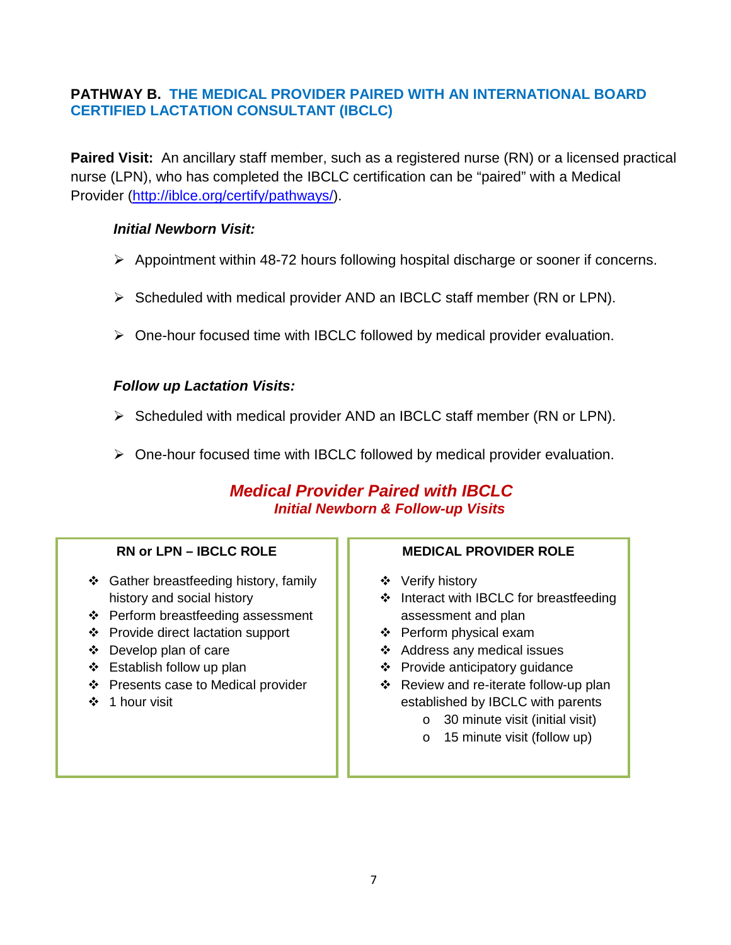#### **PATHWAY B. THE MEDICAL PROVIDER PAIRED WITH AN INTERNATIONAL BOARD CERTIFIED LACTATION CONSULTANT (IBCLC)**

**Paired Visit:** An ancillary staff member, such as a registered nurse (RN) or a licensed practical nurse (LPN), who has completed the IBCLC certification can be "paired" with a Medical Provider [\(http://iblce.org/certify/pathways/\)](http://iblce.org/certify/pathways/).

#### *Initial Newborn Visit:*

- Appointment within 48-72 hours following hospital discharge or sooner if concerns.
- $\triangleright$  Scheduled with medical provider AND an IBCLC staff member (RN or LPN).
- $\triangleright$  One-hour focused time with IBCLC followed by medical provider evaluation.

#### *Follow up Lactation Visits:*

- $\triangleright$  Scheduled with medical provider AND an IBCLC staff member (RN or LPN).
- $\triangleright$  One-hour focused time with IBCLC followed by medical provider evaluation.

### *Medical Provider Paired with IBCLC Initial Newborn & Follow-up Visits*

#### **RN or LPN – IBCLC ROLE**

- Gather breastfeeding history, family history and social history
- ❖ Perform breastfeeding assessment
- Provide direct lactation support
- Develop plan of care
- $\div$  Establish follow up plan
- ❖ Presents case to Medical provider
- ❖ 1 hour visit

#### **MEDICAL PROVIDER ROLE**

- ❖ Verify history
- $\div$  Interact with IBCLC for breastfeeding assessment and plan
- ❖ Perform physical exam
- Address any medical issues
- ❖ Provide anticipatory quidance
- ❖ Review and re-iterate follow-up plan established by IBCLC with parents
	- o 30 minute visit (initial visit)
	- o 15 minute visit (follow up)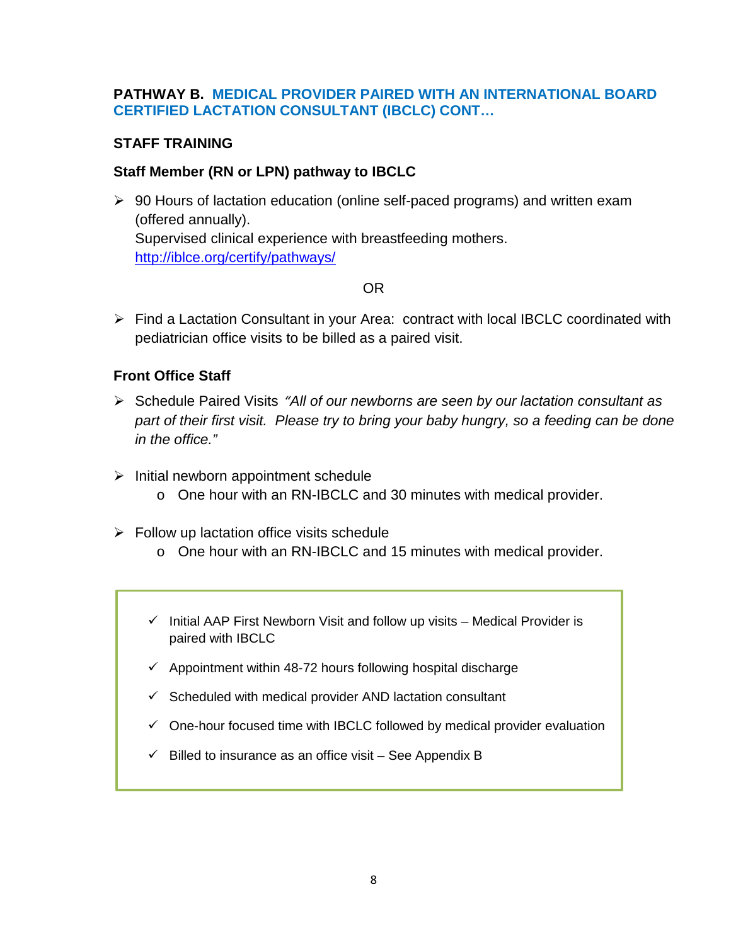#### **PATHWAY B. MEDICAL PROVIDER PAIRED WITH AN INTERNATIONAL BOARD CERTIFIED LACTATION CONSULTANT (IBCLC) CONT…**

#### **STAFF TRAINING**

#### **Staff Member (RN or LPN) pathway to IBCLC**

 90 Hours of lactation education (online self-paced programs) and written exam (offered annually). Supervised clinical experience with breastfeeding mothers. <http://iblce.org/certify/pathways/>

#### OR

 $\triangleright$  Find a Lactation Consultant in your Area: contract with local IBCLC coordinated with pediatrician office visits to be billed as a paired visit.

#### **Front Office Staff**

- Schedule Paired Visits *"All of our newborns are seen by our lactation consultant as part of their first visit. Please try to bring your baby hungry, so a feeding can be done in the office."*
- $\triangleright$  Initial newborn appointment schedule
	- o One hour with an RN-IBCLC and 30 minutes with medical provider.
- $\triangleright$  Follow up lactation office visits schedule
	- o One hour with an RN-IBCLC and 15 minutes with medical provider.
	- $\checkmark$  Initial AAP First Newborn Visit and follow up visits Medical Provider is paired with IBCLC
	- $\checkmark$  Appointment within 48-72 hours following hospital discharge
	- $\checkmark$  Scheduled with medical provider AND lactation consultant
	- $\checkmark$  One-hour focused time with IBCLC followed by medical provider evaluation
	- $\checkmark$  Billed to insurance as an office visit See Appendix B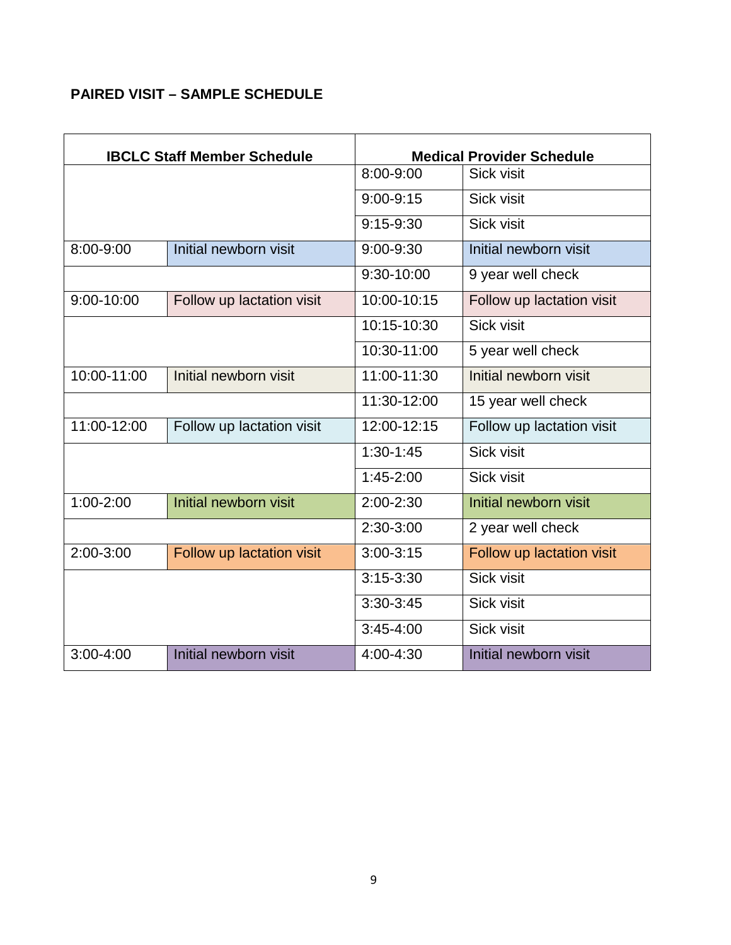### **PAIRED VISIT – SAMPLE SCHEDULE**

|               | <b>IBCLC Staff Member Schedule</b> |               | <b>Medical Provider Schedule</b> |
|---------------|------------------------------------|---------------|----------------------------------|
|               |                                    | 8:00-9:00     | Sick visit                       |
|               |                                    | $9:00 - 9:15$ | Sick visit                       |
|               |                                    | $9:15-9:30$   | Sick visit                       |
| $8:00 - 9:00$ | Initial newborn visit              | $9:00 - 9:30$ | Initial newborn visit            |
|               |                                    | 9:30-10:00    | 9 year well check                |
| 9:00-10:00    | Follow up lactation visit          | 10:00-10:15   | Follow up lactation visit        |
|               |                                    | 10:15-10:30   | Sick visit                       |
|               |                                    | 10:30-11:00   | 5 year well check                |
| 10:00-11:00   | Initial newborn visit              | 11:00-11:30   | Initial newborn visit            |
|               |                                    | 11:30-12:00   | 15 year well check               |
| 11:00-12:00   | Follow up lactation visit          | 12:00-12:15   | Follow up lactation visit        |
|               |                                    | $1:30-1:45$   | Sick visit                       |
|               |                                    | $1:45-2:00$   | Sick visit                       |
| $1:00 - 2:00$ | Initial newborn visit              | $2:00 - 2:30$ | Initial newborn visit            |
|               |                                    | $2:30-3:00$   | 2 year well check                |
| 2:00-3:00     | Follow up lactation visit          | $3:00 - 3:15$ | Follow up lactation visit        |
|               |                                    | $3:15 - 3:30$ | Sick visit                       |
|               |                                    | $3:30-3:45$   | Sick visit                       |
|               |                                    | $3:45 - 4:00$ | Sick visit                       |
| $3:00 - 4:00$ | Initial newborn visit              | 4:00-4:30     | Initial newborn visit            |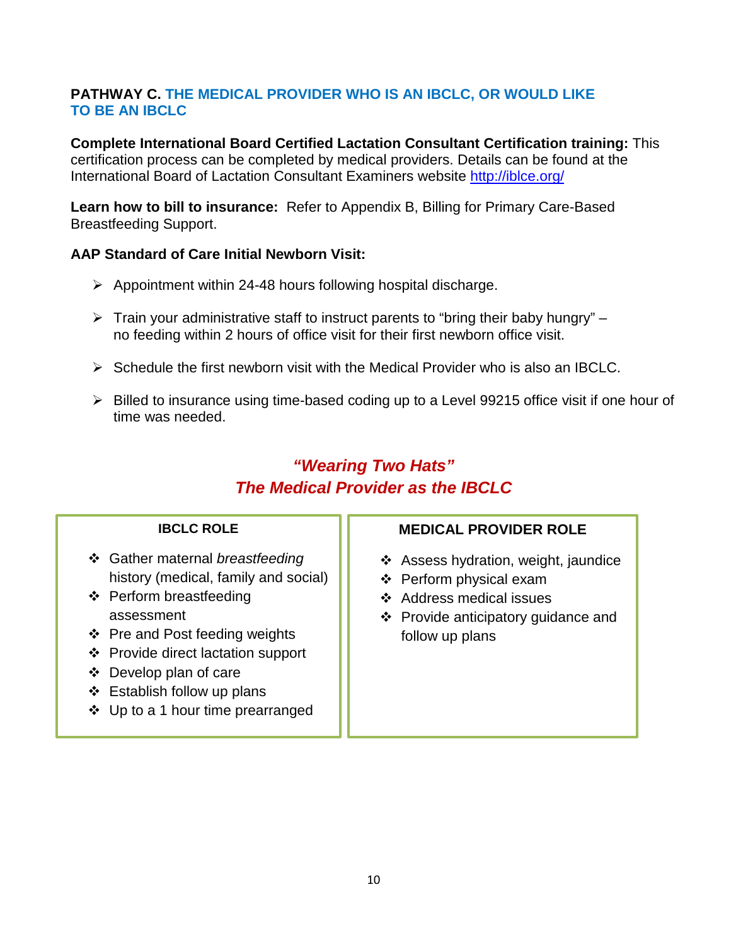#### **PATHWAY C. THE MEDICAL PROVIDER WHO IS AN IBCLC, OR WOULD LIKE TO BE AN IBCLC**

**Complete International Board Certified Lactation Consultant Certification training:** This certification process can be completed by medical providers. Details can be found at the International Board of Lactation Consultant Examiners website<http://iblce.org/>

**Learn how to bill to insurance:** Refer to Appendix B, Billing for Primary Care-Based Breastfeeding Support.

#### **AAP Standard of Care Initial Newborn Visit:**

- $\triangleright$  Appointment within 24-48 hours following hospital discharge.
- $\triangleright$  Train your administrative staff to instruct parents to "bring their baby hungry" no feeding within 2 hours of office visit for their first newborn office visit.
- $\triangleright$  Schedule the first newborn visit with the Medical Provider who is also an IBCLC.
- $\triangleright$  Billed to insurance using time-based coding up to a Level 99215 office visit if one hour of time was needed.

## *"Wearing Two Hats" The Medical Provider as the IBCLC*

#### **IBCLC ROLE**

- Gather maternal *breastfeeding*  history (medical, family and social)
- ❖ Perform breastfeeding assessment
- ❖ Pre and Post feeding weights
- Provide direct lactation support
- Develop plan of care
- $\div$  Establish follow up plans
- $\div$  Up to a 1 hour time prearranged

#### **MEDICAL PROVIDER ROLE**

- $\div$  Assess hydration, weight, jaundice
- ❖ Perform physical exam
- ❖ Address medical issues
- Provide anticipatory guidance and follow up plans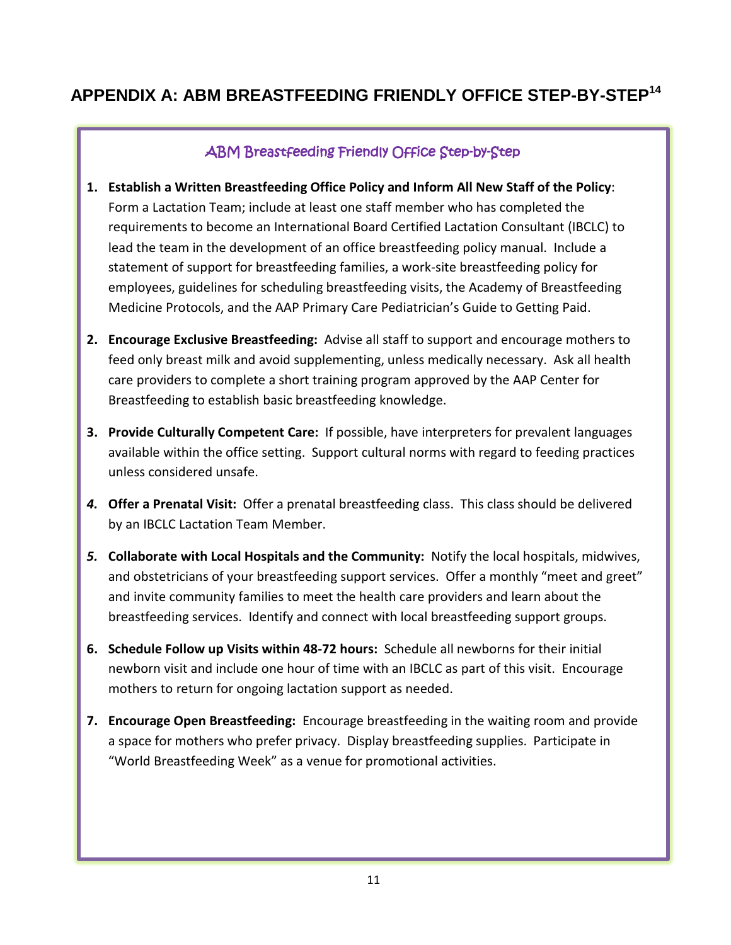## **APPENDIX A: ABM BREASTFEEDING FRIENDLY OFFICE STEP-BY-STEP14**

### ABM Breastfeeding Friendly Office Step-by-Step

- **1. Establish a Written Breastfeeding Office Policy and Inform All New Staff of the Policy**: Form a Lactation Team; include at least one staff member who has completed the requirements to become an International Board Certified Lactation Consultant (IBCLC) to lead the team in the development of an office breastfeeding policy manual. Include a statement of support for breastfeeding families, a work-site breastfeeding policy for employees, guidelines for scheduling breastfeeding visits, the Academy of Breastfeeding Medicine Protocols, and the AAP Primary Care Pediatrician's Guide to Getting Paid.
- **2. Encourage Exclusive Breastfeeding:** Advise all staff to support and encourage mothers to feed only breast milk and avoid supplementing, unless medically necessary. Ask all health care providers to complete a short training program approved by the AAP Center for Breastfeeding to establish basic breastfeeding knowledge.
- **3. Provide Culturally Competent Care:** If possible, have interpreters for prevalent languages available within the office setting. Support cultural norms with regard to feeding practices unless considered unsafe.
- *4.* **Offer a Prenatal Visit:** Offer a prenatal breastfeeding class. This class should be delivered by an IBCLC Lactation Team Member.
- *5.* **Collaborate with Local Hospitals and the Community:** Notify the local hospitals, midwives, and obstetricians of your breastfeeding support services. Offer a monthly "meet and greet" and invite community families to meet the health care providers and learn about the breastfeeding services. Identify and connect with local breastfeeding support groups.
- **6. Schedule Follow up Visits within 48-72 hours:** Schedule all newborns for their initial newborn visit and include one hour of time with an IBCLC as part of this visit. Encourage mothers to return for ongoing lactation support as needed.
- **7. Encourage Open Breastfeeding:** Encourage breastfeeding in the waiting room and provide a space for mothers who prefer privacy. Display breastfeeding supplies. Participate in "World Breastfeeding Week" as a venue for promotional activities.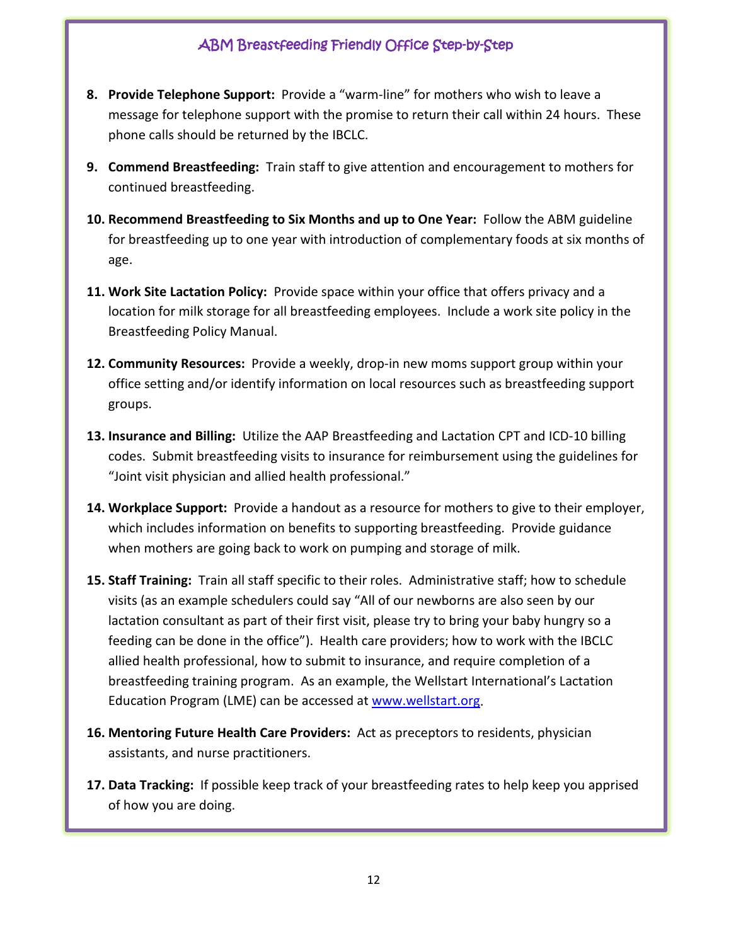### ABM Breastfeeding Friendly Office Step-by-Step

- **8. Provide Telephone Support:** Provide a "warm-line" for mothers who wish to leave a message for telephone support with the promise to return their call within 24 hours. These phone calls should be returned by the IBCLC.
- **9. Commend Breastfeeding:** Train staff to give attention and encouragement to mothers for continued breastfeeding.
- **10. Recommend Breastfeeding to Six Months and up to One Year:** Follow the ABM guideline for breastfeeding up to one year with introduction of complementary foods at six months of age.
- **11. Work Site Lactation Policy:** Provide space within your office that offers privacy and a location for milk storage for all breastfeeding employees. Include a work site policy in the Breastfeeding Policy Manual.
- **12. Community Resources:** Provide a weekly, drop-in new moms support group within your office setting and/or identify information on local resources such as breastfeeding support groups.
- **13. Insurance and Billing:** Utilize the AAP Breastfeeding and Lactation CPT and ICD-10 billing codes. Submit breastfeeding visits to insurance for reimbursement using the guidelines for "Joint visit physician and allied health professional."
- **14. Workplace Support:** Provide a handout as a resource for mothers to give to their employer, which includes information on benefits to supporting breastfeeding. Provide guidance when mothers are going back to work on pumping and storage of milk.
- **15. Staff Training:** Train all staff specific to their roles. Administrative staff; how to schedule visits (as an example schedulers could say "All of our newborns are also seen by our lactation consultant as part of their first visit, please try to bring your baby hungry so a feeding can be done in the office"). Health care providers; how to work with the IBCLC allied health professional, how to submit to insurance, and require completion of a breastfeeding training program. As an example, the Wellstart International's Lactation Education Program (LME) can be accessed at [www.wellstart.org.](http://www.wellstart.org/)
- **16. Mentoring Future Health Care Providers:** Act as preceptors to residents, physician assistants, and nurse practitioners.
- **17. Data Tracking:** If possible keep track of your breastfeeding rates to help keep you apprised of how you are doing.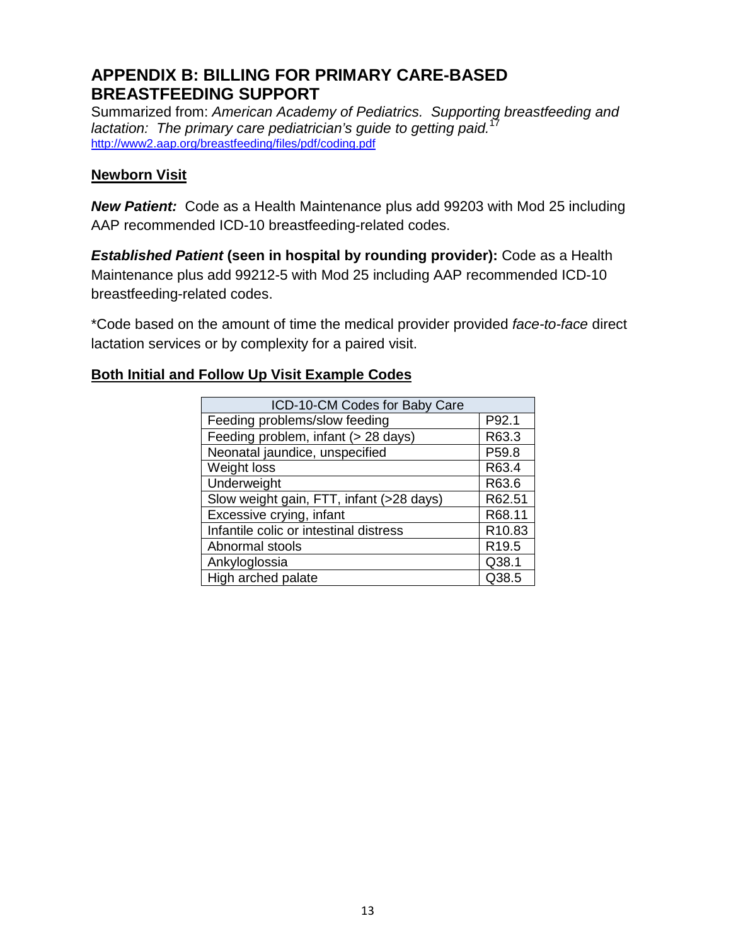## **APPENDIX B: BILLING FOR PRIMARY CARE-BASED BREASTFEEDING SUPPORT**

Summarized from: *American Academy of Pediatrics. Supporting breastfeeding and lactation: The primary care pediatrician's guide to getting paid.* 17 <http://www2.aap.org/breastfeeding/files/pdf/coding.pdf>

#### **Newborn Visit**

*New Patient:* Code as a Health Maintenance plus add 99203 with Mod 25 including AAP recommended ICD-10 breastfeeding-related codes.

*Established Patient* **(seen in hospital by rounding provider):** Code as a Health Maintenance plus add 99212-5 with Mod 25 including AAP recommended ICD-10 breastfeeding-related codes.

\*Code based on the amount of time the medical provider provided *face-to-face* direct lactation services or by complexity for a paired visit.

#### **Both Initial and Follow Up Visit Example Codes**

| ICD-10-CM Codes for Baby Care            |                   |
|------------------------------------------|-------------------|
| Feeding problems/slow feeding            | P92.1             |
| Feeding problem, infant (> 28 days)      | R63.3             |
| Neonatal jaundice, unspecified           | P59.8             |
| Weight loss                              | R63.4             |
| Underweight                              | R63.6             |
| Slow weight gain, FTT, infant (>28 days) | R62.51            |
| Excessive crying, infant                 | R68.11            |
| Infantile colic or intestinal distress   | R10.83            |
| Abnormal stools                          | R <sub>19.5</sub> |
| Ankyloglossia                            | Q38.1             |
| High arched palate                       | Q38.5             |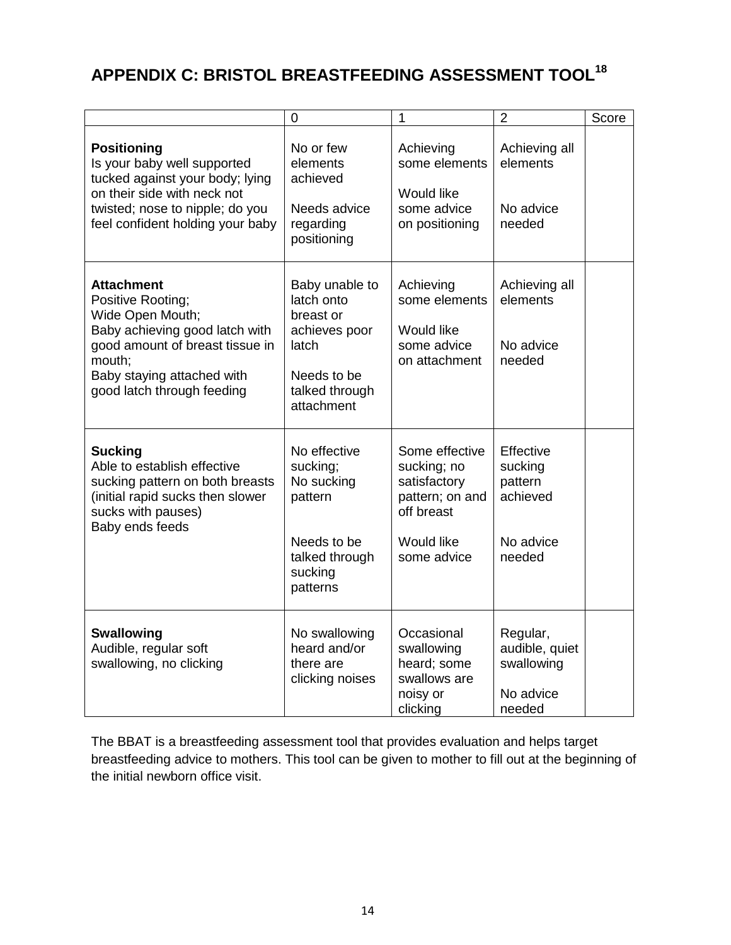## **APPENDIX C: BRISTOL BREASTFEEDING ASSESSMENT TOOL18**

|                                                                                                                                                                                                       | $\mathbf 0$                                                                                                        | 1                                                                                                                  | $\overline{2}$                                                     | Score |
|-------------------------------------------------------------------------------------------------------------------------------------------------------------------------------------------------------|--------------------------------------------------------------------------------------------------------------------|--------------------------------------------------------------------------------------------------------------------|--------------------------------------------------------------------|-------|
| <b>Positioning</b><br>Is your baby well supported<br>tucked against your body; lying<br>on their side with neck not<br>twisted; nose to nipple; do you<br>feel confident holding your baby            | No or few<br>elements<br>achieved<br>Needs advice<br>regarding<br>positioning                                      | Achieving<br>some elements<br><b>Would like</b><br>some advice<br>on positioning                                   | Achieving all<br>elements<br>No advice<br>needed                   |       |
| <b>Attachment</b><br>Positive Rooting;<br>Wide Open Mouth;<br>Baby achieving good latch with<br>good amount of breast tissue in<br>mouth;<br>Baby staying attached with<br>good latch through feeding | Baby unable to<br>latch onto<br>breast or<br>achieves poor<br>latch<br>Needs to be<br>talked through<br>attachment | Achieving<br>some elements<br>Would like<br>some advice<br>on attachment                                           | Achieving all<br>elements<br>No advice<br>needed                   |       |
| <b>Sucking</b><br>Able to establish effective<br>sucking pattern on both breasts<br>(initial rapid sucks then slower<br>sucks with pauses)<br>Baby ends feeds                                         | No effective<br>sucking;<br>No sucking<br>pattern<br>Needs to be<br>talked through<br>sucking<br>patterns          | Some effective<br>sucking; no<br>satisfactory<br>pattern; on and<br>off breast<br><b>Would like</b><br>some advice | Effective<br>sucking<br>pattern<br>achieved<br>No advice<br>needed |       |
| <b>Swallowing</b><br>Audible, regular soft<br>swallowing, no clicking                                                                                                                                 | No swallowing<br>heard and/or<br>there are<br>clicking noises                                                      | Occasional<br>swallowing<br>heard; some<br>swallows are<br>noisy or<br>clicking                                    | Regular,<br>audible, quiet<br>swallowing<br>No advice<br>needed    |       |

The BBAT is a breastfeeding assessment tool that provides evaluation and helps target breastfeeding advice to mothers. This tool can be given to mother to fill out at the beginning of the initial newborn office visit.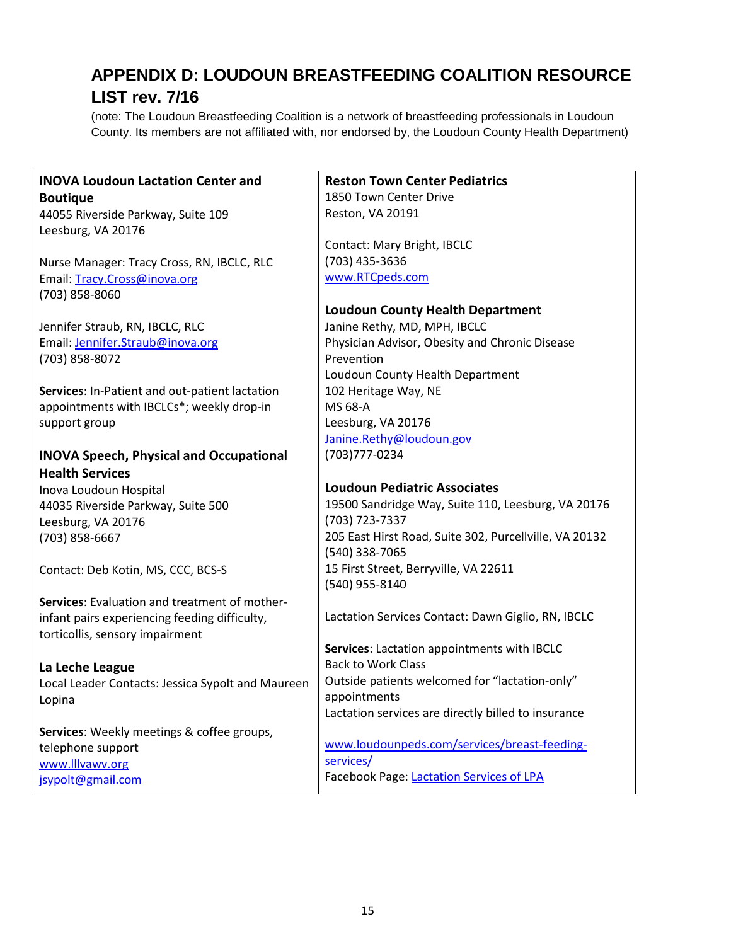## **APPENDIX D: LOUDOUN BREASTFEEDING COALITION RESOURCE LIST rev. 7/16**

(note: The Loudoun Breastfeeding Coalition is a network of breastfeeding professionals in Loudoun County. Its members are not affiliated with, nor endorsed by, the Loudoun County Health Department)

| <b>INOVA Loudoun Lactation Center and</b>         | <b>Reston Town Center Pediatrics</b>                   |
|---------------------------------------------------|--------------------------------------------------------|
| <b>Boutique</b>                                   | 1850 Town Center Drive                                 |
| 44055 Riverside Parkway, Suite 109                | Reston, VA 20191                                       |
| Leesburg, VA 20176                                |                                                        |
|                                                   | Contact: Mary Bright, IBCLC                            |
| Nurse Manager: Tracy Cross, RN, IBCLC, RLC        | (703) 435-3636                                         |
| Email: Tracy.Cross@inova.org                      | www.RTCpeds.com                                        |
| (703) 858-8060                                    |                                                        |
|                                                   | <b>Loudoun County Health Department</b>                |
| Jennifer Straub, RN, IBCLC, RLC                   | Janine Rethy, MD, MPH, IBCLC                           |
| Email: Jennifer.Straub@inova.org                  | Physician Advisor, Obesity and Chronic Disease         |
| (703) 858-8072                                    | Prevention                                             |
|                                                   | Loudoun County Health Department                       |
| Services: In-Patient and out-patient lactation    | 102 Heritage Way, NE                                   |
| appointments with IBCLCs*; weekly drop-in         | MS 68-A                                                |
| support group                                     | Leesburg, VA 20176                                     |
|                                                   | Janine.Rethy@loudoun.gov                               |
| <b>INOVA Speech, Physical and Occupational</b>    | (703) 777-0234                                         |
| <b>Health Services</b>                            |                                                        |
|                                                   |                                                        |
| Inova Loudoun Hospital                            | <b>Loudoun Pediatric Associates</b>                    |
| 44035 Riverside Parkway, Suite 500                | 19500 Sandridge Way, Suite 110, Leesburg, VA 20176     |
| Leesburg, VA 20176                                | (703) 723-7337                                         |
| (703) 858-6667                                    | 205 East Hirst Road, Suite 302, Purcellville, VA 20132 |
|                                                   | (540) 338-7065                                         |
| Contact: Deb Kotin, MS, CCC, BCS-S                | 15 First Street, Berryville, VA 22611                  |
|                                                   | (540) 955-8140                                         |
| Services: Evaluation and treatment of mother-     |                                                        |
| infant pairs experiencing feeding difficulty,     | Lactation Services Contact: Dawn Giglio, RN, IBCLC     |
| torticollis, sensory impairment                   |                                                        |
|                                                   | Services: Lactation appointments with IBCLC            |
| La Leche League                                   | <b>Back to Work Class</b>                              |
| Local Leader Contacts: Jessica Sypolt and Maureen | Outside patients welcomed for "lactation-only"         |
| Lopina                                            | appointments                                           |
|                                                   | Lactation services are directly billed to insurance    |
| Services: Weekly meetings & coffee groups,        |                                                        |
| telephone support                                 | www.loudounpeds.com/services/breast-feeding-           |
| www.lllvawv.org                                   | services/<br>Facebook Page: Lactation Services of LPA  |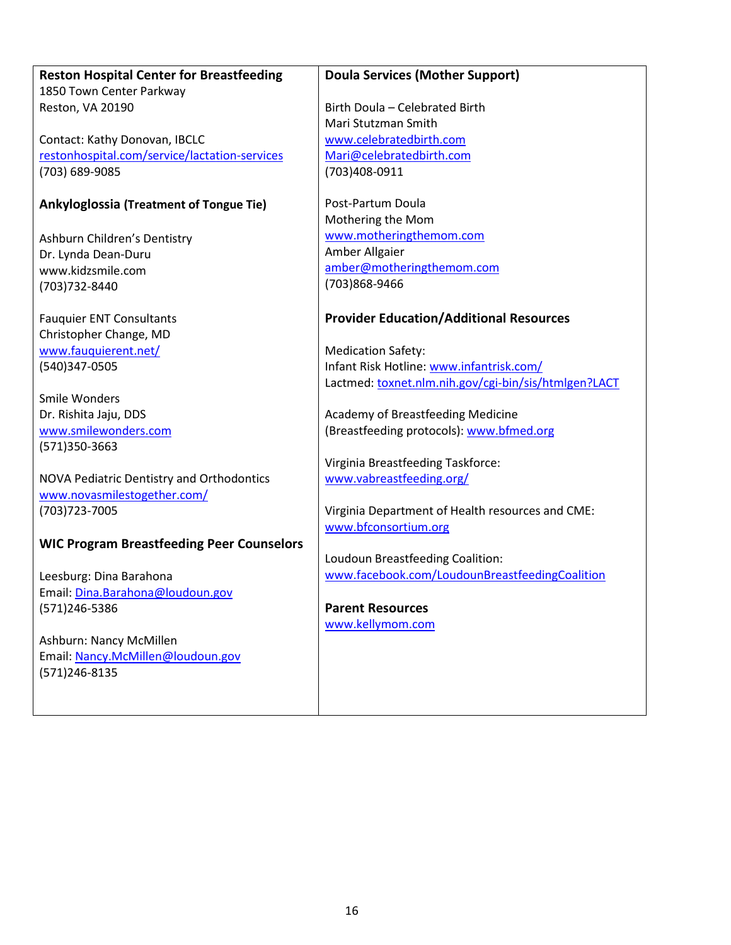#### **Reston Hospital Center for Breastfeeding** 1850 Town Center Parkway Reston, VA 20190

Contact: Kathy Donovan, IBCLC [restonhospital.com/service/lactation-services](http://restonhospital.com/service/lactation-services) (703) 689-9085

#### **Ankyloglossia (Treatment of Tongue Tie)**

Ashburn Children's Dentistry Dr. Lynda Dean-Duru www.kidzsmile.com (703)732-8440

Fauquier ENT Consultants Christopher Change, MD [www.fauquierent.net/](http://www.fauquierent.net/) (540)347-0505

Smile Wonders Dr. Rishita Jaju, DDS [www.smilewonders.com](http://www.smilewonders.com/) (571)350-3663

NOVA Pediatric Dentistry and Orthodontics [www.novasmilestogether.com/](http://www.novasmilestogether.com/) (703)723-7005

#### **WIC Program Breastfeeding Peer Counselors**

Leesburg: Dina Barahona Email: [Dina.Barahona@loudoun.gov](mailto:Dina.Barahona@loudoun.gov) (571)246-5386

Ashburn: Nancy McMillen Email: [Nancy.McMillen@loudoun.gov](mailto:Nancy.McMillen@loudoun.gov) (571)246-8135

#### **Doula Services (Mother Support)**

Birth Doula – Celebrated Birth Mari Stutzman Smith [www.celebratedbirth.com](http://www.celebratedbirth.com/) [Mari@celebratedbirth.com](mailto:Mari@celebratedbirth.com) (703)408-0911

Post-Partum Doula Mothering the Mom [www.motheringthemom.com](http://www.motheringthemom.com/) Amber Allgaier [amber@motheringthemom.com](mailto:amber@motheringthemom.com) (703)868-9466

#### **Provider Education/Additional Resources**

Medication Safety: Infant Risk Hotline: [www.infantrisk.com/](http://www.infantrisk.com/) Lactmed: [toxnet.nlm.nih.gov/cgi-bin/sis/htmlgen?LACT](http://toxnet.nlm.nih.gov/cgi-bin/sis/htmlgen?LACT)

Academy of Breastfeeding Medicine (Breastfeeding protocols): [www.bfmed.org](http://www.bfmed.org/)

Virginia Breastfeeding Taskforce: [www.vabreastfeeding.org/](http://www.vabreastfeeding.org/)

Virginia Department of Health resources and CME: [www.bfconsortium.org](http://www.bfconsortium.org/)

Loudoun Breastfeeding Coalition: [www.facebook.com/LoudounBreastfeedingCoalition](http://www.facebook.com/LoudounBreastfeedingCoalition)

**Parent Resources** [www.kellymom.com](http://www.kellymom.com/)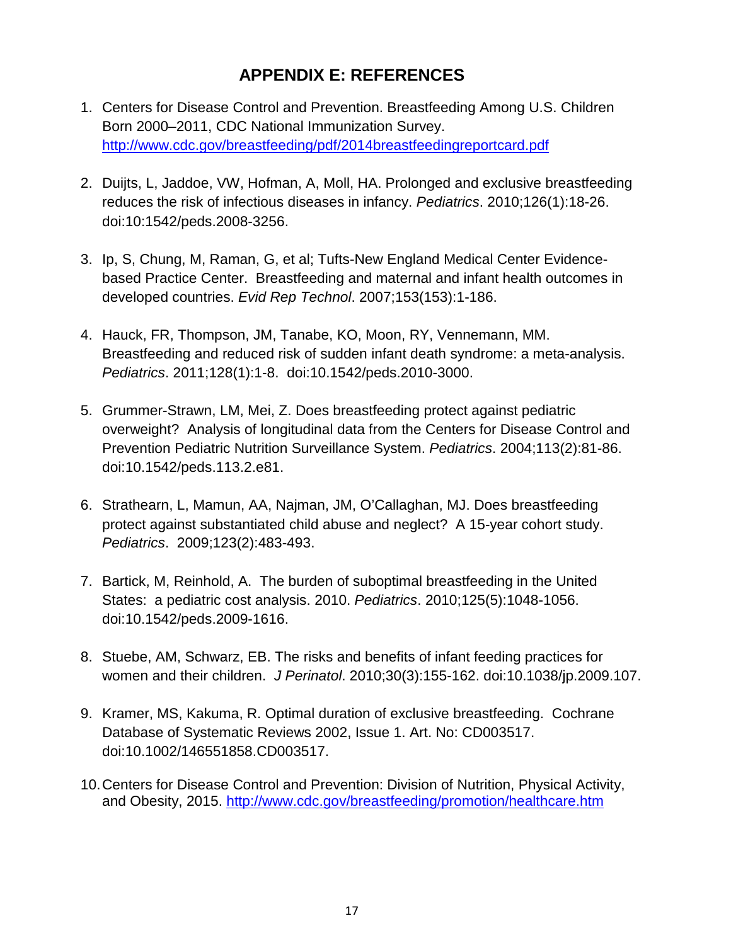## **APPENDIX E: REFERENCES**

- 1. Centers for Disease Control and Prevention. Breastfeeding Among U.S. Children Born 2000–2011, CDC National Immunization Survey. <http://www.cdc.gov/breastfeeding/pdf/2014breastfeedingreportcard.pdf>
- 2. Duijts, L, Jaddoe, VW, Hofman, A, Moll, HA. Prolonged and exclusive breastfeeding reduces the risk of infectious diseases in infancy. *Pediatrics*. 2010;126(1):18-26. doi:10:1542/peds.2008-3256.
- 3. Ip, S, Chung, M, Raman, G, et al; Tufts-New England Medical Center Evidencebased Practice Center. Breastfeeding and maternal and infant health outcomes in developed countries. *Evid Rep Technol*. 2007;153(153):1-186.
- 4. Hauck, FR, Thompson, JM, Tanabe, KO, Moon, RY, Vennemann, MM. Breastfeeding and reduced risk of sudden infant death syndrome: a meta-analysis. *Pediatrics*. 2011;128(1):1-8. doi:10.1542/peds.2010-3000.
- 5. Grummer-Strawn, LM, Mei, Z. Does breastfeeding protect against pediatric overweight? Analysis of longitudinal data from the Centers for Disease Control and Prevention Pediatric Nutrition Surveillance System. *Pediatrics*. 2004;113(2):81-86. doi:10.1542/peds.113.2.e81.
- 6. Strathearn, L, Mamun, AA, Najman, JM, O'Callaghan, MJ. Does breastfeeding protect against substantiated child abuse and neglect? A 15-year cohort study. *Pediatrics*. 2009;123(2):483-493.
- 7. Bartick, M, Reinhold, A. The burden of suboptimal breastfeeding in the United States: a pediatric cost analysis. 2010. *Pediatrics*. 2010;125(5):1048-1056. doi:10.1542/peds.2009-1616.
- 8. Stuebe, AM, Schwarz, EB. The risks and benefits of infant feeding practices for women and their children. *J Perinatol*. 2010;30(3):155-162. doi:10.1038/jp.2009.107.
- 9. Kramer, MS, Kakuma, R. Optimal duration of exclusive breastfeeding. Cochrane Database of Systematic Reviews 2002, Issue 1. Art. No: CD003517. doi:10.1002/146551858.CD003517.
- 10.Centers for Disease Control and Prevention: Division of Nutrition, Physical Activity, and Obesity, 2015. <http://www.cdc.gov/breastfeeding/promotion/healthcare.htm>